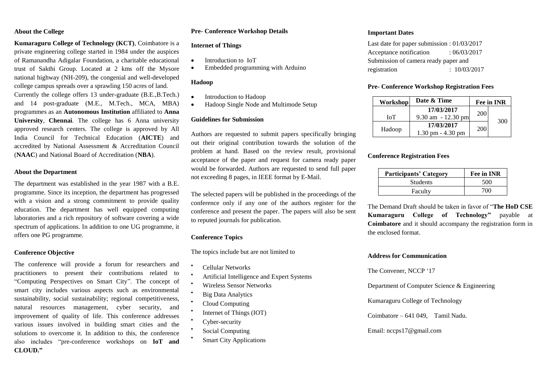## **About the College**

**Kumaraguru College of Technology (KCT)**, Coimbatore is a private engineering college started in 1984 under the auspices of Ramanandha Adigalar Foundation, a charitable educational trust of Sakthi Group. Located at 2 kms off the Mysore national highway (NH-209), the congenial and well-developed college campus spreads over a sprawling 150 acres of land. Currently the college offers 13 under-graduate (B.E.,B.Tech.) and 14 post-graduate (M.E., M.Tech., MCA, MBA) programmes as an **Autonomous Institution** affiliated to **Anna University**, **Chennai**. The college has 6 Anna university approved research centers. The college is approved by All India Council for Technical Education (**AICTE**) and accredited by National Assessment & Accreditation Council (**NAAC**) and National Board of Accreditation (**NBA**).

#### **About the Department**

The department was established in the year 1987 with a B.E. programme. Since its inception, the department has progressed with a vision and a strong commitment to provide quality education. The department has well equipped computing laboratories and a rich repository of software covering a wide spectrum of applications. In addition to one UG programme, it offers one PG programme.

# **Conference Objective**

The conference will provide a forum for researchers and practitioners to present their contributions related to "Computing Perspectives on Smart City". The concept of smart city includes various aspects such as environmental sustainability, social sustainability; regional competitiveness, natural resources management, cyber security, and improvement of quality of life. This conference addresses various issues involved in building smart cities and the solutions to overcome it. In addition to this, the conference also includes "pre-conference workshops on **IoT and CLOUD."**

# **Pre- Conference Workshop Details**

#### **Internet of Things**

- Introduction to IoT
- Embedded programming with Arduino

# **Hadoop**

- Introduction to Hadoop
- Hadoop Single Node and Multimode Setup

### **Guidelines for Submission**

Authors are requested to submit papers specifically bringing out their original contribution towards the solution of the problem at hand. Based on the review result, provisional acceptance of the paper and request for camera ready paper would be forwarded. Authors are requested to send full paper not exceeding 8 pages, in IEEE format by E-Mail.

The selected papers will be published in the proceedings of the conference only if any one of the authors register for the conference and present the paper. The papers will also be sent to reputed journals for publication.

#### **Conference Topics**

The topics include but are not limited to

- Cellular Networks
- Artificial Intelligence and Expert Systems
- Wireless Sensor Networks
- **Big Data Analytics**
- Cloud Computing
- Internet of Things (IOT)
- Cyber-security

 $\bullet$ 

- $\bullet$ Social Computing
- $\bullet$ Smart City Applications

#### **Important Dates**

| Last date for paper submission : $01/03/2017$ |  |              |  |
|-----------------------------------------------|--|--------------|--|
| Acceptance notification                       |  | : 06/03/2017 |  |
| Submission of camera ready paper and          |  |              |  |
| registration                                  |  | : 10/03/2017 |  |

### **Pre- Conference Workshop Registration Fees**

| Workshop | Date & Time                         |     | Fee in INR |
|----------|-------------------------------------|-----|------------|
|          | 17/03/2017                          | 200 |            |
| ЮT       | $9.30$ am $-12.30$ pm               |     |            |
| Hadoop   | 17/03/2017                          | 200 | 300        |
|          | $1.30 \text{ pm} - 4.30 \text{ pm}$ |     |            |

## **Conference Registration Fees**

| <b>Participants' Category</b> | Fee in INR |
|-------------------------------|------------|
| <b>Students</b>               | 500        |
| Faculty                       | 700        |

The Demand Draft should be taken in favor of "**The HoD CSE Kumaraguru College of Technology"** payable at **Coimbatore** and it should accompany the registration form in the enclosed format.

#### **Address for Communication**

The Convener, NCCP "17

Department of Computer Science & Engineering

Kumaraguru College of Technology

Coimbatore – 641 049, Tamil Nadu.

#### Email: nccps17@gmail.com